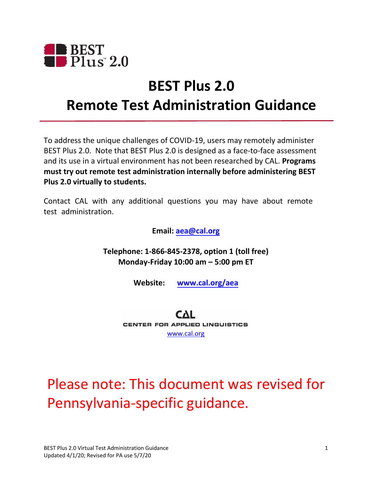

## **BEST Plus 2.0 Remote Test Administration Guidance**

To address the unique challenges of COVID-19, users may remotely administer BEST Plus 2.0. Note that BEST Plus 2.0 is designed as a face-to-face assessment and its use in a virtual environment has not been researched by CAL. **Programs must try out remote test administration internally before administering BEST Plus 2.0 virtually to students.** 

Contact CAL with any additional questions you may have about remote test administration.

**Email[: aea@cal.org](mailto:aea@cal.org)** 

**Telephone: 1-866-845-2378, option 1 (toll free) Monday-Friday 10:00 am – 5:00 pm ET** 

**Website: [www.cal.org/aea](http://www.cal.org/aea)** 

CAL CENTER **FOR APPLIED** LINGUISTICS [www.cal.org](http://www.cal.org/) 

# Please note: This document was revised for Pennsylvania-specific guidance.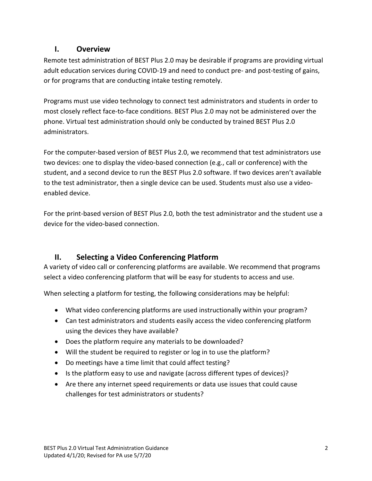#### **I. Overview**

Remote test administration of BEST Plus 2.0 may be desirable if programs are providing virtual adult education services during COVID-19 and need to conduct pre- and post-testing of gains, or for programs that are conducting intake testing remotely.

Programs must use video technology to connect test administrators and students in order to most closely reflect face-to-face conditions. BEST Plus 2.0 may not be administered over the phone. Virtual test administration should only be conducted by trained BEST Plus 2.0 administrators.

For the computer-based version of BEST Plus 2.0, we recommend that test administrators use two devices: one to display the video-based connection (e.g., call or conference) with the student, and a second device to run the BEST Plus 2.0 software. If two devices aren't available to the test administrator, then a single device can be used. Students must also use a videoenabled device.

For the print-based version of BEST Plus 2.0, both the test administrator and the student use a device for the video-based connection.

## **II. Selecting a Video Conferencing Platform**

A variety of video call or conferencing platforms are available. We recommend that programs select a video conferencing platform that will be easy for students to access and use.

When selecting a platform for testing, the following considerations may be helpful:

- What video conferencing platforms are used instructionally within your program?
- Can test administrators and students easily access the video conferencing platform using the devices they have available?
- Does the platform require any materials to be downloaded?
- Will the student be required to register or log in to use the platform?
- Do meetings have a time limit that could affect testing?
- Is the platform easy to use and navigate (across different types of devices)?
- Are there any internet speed requirements or data use issues that could cause challenges for test administrators or students?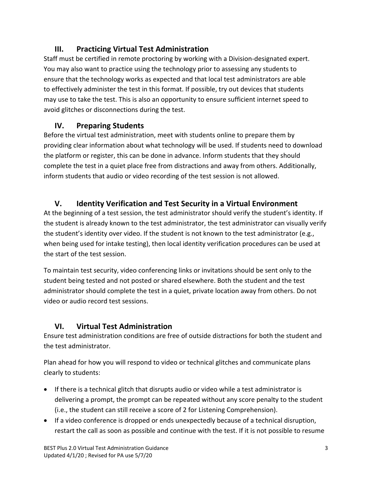### **III. Practicing Virtual Test Administration**

Staff must be certified in remote proctoring by working with a Division-designated expert. You may also want to practice using the technology prior to assessing any students to ensure that the technology works as expected and that local test administrators are able to effectively administer the test in this format. If possible, try out devices that students may use to take the test. This is also an opportunity to ensure sufficient internet speed to avoid glitches or disconnections during the test.

#### **IV. Preparing Students**

Before the virtual test administration, meet with students online to prepare them by providing clear information about what technology will be used. If students need to download the platform or register, this can be done in advance. Inform students that they should complete the test in a quiet place free from distractions and away from others. Additionally, inform students that audio or video recording of the test session is not allowed.

#### **V. Identity Verification and Test Security in a Virtual Environment**

 the student's identity over video. If the student is not known to the test administrator (e.g., At the beginning of a test session, the test administrator should verify the student's identity. If the student is already known to the test administrator, the test administrator can visually verify when being used for intake testing), then local identity verification procedures can be used at the start of the test session.

To maintain test security, video conferencing links or invitations should be sent only to the student being tested and not posted or shared elsewhere. Both the student and the test administrator should complete the test in a quiet, private location away from others. Do not video or audio record test sessions.

#### **VI. Virtual Test Administration**

Ensure test administration conditions are free of outside distractions for both the student and the test administrator.

 Plan ahead for how you will respond to video or technical glitches and communicate plans clearly to students:

- If there is a technical glitch that disrupts audio or video while a test administrator is delivering a prompt, the prompt can be repeated without any score penalty to the student (i.e., the student can still receive a score of 2 for Listening Comprehension).
- If a video conference is dropped or ends unexpectedly because of a technical disruption, restart the call as soon as possible and continue with the test. If it is not possible to resume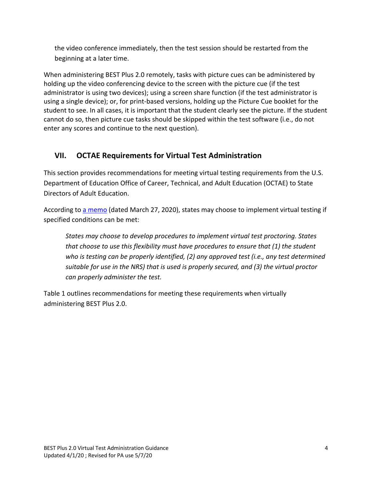the video conference immediately, then the test session should be restarted from the beginning at a later time.

When administering BEST Plus 2.0 remotely, tasks with picture cues can be administered by holding up the video conferencing device to the screen with the picture cue (if the test administrator is using two devices); using a screen share function (if the test administrator is using a single device); or, for print-based versions, holding up the Picture Cue booklet for the student to see. In all cases, it is important that the student clearly see the picture. If the student cannot do so, then picture cue tasks should be skipped within the test software (i.e., do not enter any scores and continue to the next question).

#### **VII. OCTAE Requirements for Virtual Test Administration**

This section provides recommendations for meeting virtual testing requirements from the U.S. Department of Education Office of Career, Technical, and Adult Education (OCTAE) to State Directors of Adult Education.

According to [a memo \(](https://www2.ed.gov/about/offices/list/ovae/pi/AdultEd/octae-program-memo-20-3.pdf)dated March 27, 2020), states may choose to implement virtual testing if specified conditions can be met:

 *that choose to use this flexibility must have procedures to ensure that (1) the student States may choose to develop procedures to implement virtual test proctoring. States who is testing can be properly identified, (2) any approved test (i.e., any test determined suitable for use in the NRS) that is used is properly secured, and (3) the virtual proctor can properly administer the test.* 

Table 1 outlines recommendations for meeting these requirements when virtually administering BEST Plus 2.0.